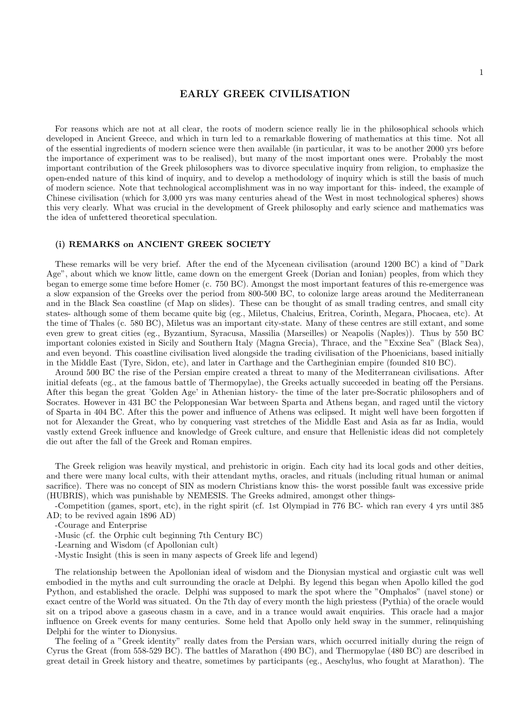## EARLY GREEK CIVILISATION

For reasons which are not at all clear, the roots of modern science really lie in the philosophical schools which developed in Ancient Greece, and which in turn led to a remarkable flowering of mathematics at this time. Not all of the essential ingredients of modern science were then available (in particular, it was to be another 2000 yrs before the importance of experiment was to be realised), but many of the most important ones were. Probably the most important contribution of the Greek philosophers was to divorce speculative inquiry from religion, to emphasize the open-ended nature of this kind of inquiry, and to develop a methodology of inquiry which is still the basis of much of modern science. Note that technological accomplishment was in no way important for this- indeed, the example of Chinese civilisation (which for 3,000 yrs was many centuries ahead of the West in most technological spheres) shows this very clearly. What was crucial in the development of Greek philosophy and early science and mathematics was the idea of unfettered theoretical speculation.

## (i) REMARKS on ANCIENT GREEK SOCIETY

These remarks will be very brief. After the end of the Mycenean civilisation (around 1200 BC) a kind of "Dark Age", about which we know little, came down on the emergent Greek (Dorian and Ionian) peoples, from which they began to emerge some time before Homer (c. 750 BC). Amongst the most important features of this re-emergence was a slow expansion of the Greeks over the period from 800-500 BC, to colonize large areas around the Mediterranean and in the Black Sea coastline (cf Map on slides). These can be thought of as small trading centres, and small city states- although some of them became quite big (eg., Miletus, Chalcius, Eritrea, Corinth, Megara, Phocaea, etc). At the time of Thales (c. 580 BC), Miletus was an important city-state. Many of these centres are still extant, and some even grew to great cities (eg., Byzantium, Syracusa, Massilia (Marseilles) or Neapolis (Naples)). Thus by 550 BC important colonies existed in Sicily and Southern Italy (Magna Grecia), Thrace, and the "Exxine Sea" (Black Sea), and even beyond. This coastline civilisation lived alongside the trading civilisation of the Phoenicians, based initially in the Middle East (Tyre, Sidon, etc), and later in Carthage and the Cartheginian empire (founded 810 BC).

Around 500 BC the rise of the Persian empire created a threat to many of the Mediterranean civilisations. After initial defeats (eg., at the famous battle of Thermopylae), the Greeks actually succeeded in beating off the Persians. After this began the great 'Golden Age' in Athenian history- the time of the later pre-Socratic philosophers and of Socrates. However in 431 BC the Pelopponesian War between Sparta and Athens began, and raged until the victory of Sparta in 404 BC. After this the power and influence of Athens was eclipsed. It might well have been forgotten if not for Alexander the Great, who by conquering vast stretches of the Middle East and Asia as far as India, would vastly extend Greek influence and knowledge of Greek culture, and ensure that Hellenistic ideas did not completely die out after the fall of the Greek and Roman empires.

The Greek religion was heavily mystical, and prehistoric in origin. Each city had its local gods and other deities, and there were many local cults, with their attendant myths, oracles, and rituals (including ritual human or animal sacrifice). There was no concept of SIN as modern Christians know this- the worst possible fault was excessive pride (HUBRIS), which was punishable by NEMESIS. The Greeks admired, amongst other things-

-Competition (games, sport, etc), in the right spirit (cf. 1st Olympiad in 776 BC- which ran every 4 yrs until 385 AD; to be revived again 1896 AD)

-Courage and Enterprise

-Music (cf. the Orphic cult beginning 7th Century BC)

-Learning and Wisdom (cf Apollonian cult)

-Mystic Insight (this is seen in many aspects of Greek life and legend)

The relationship between the Apollonian ideal of wisdom and the Dionysian mystical and orgiastic cult was well embodied in the myths and cult surrounding the oracle at Delphi. By legend this began when Apollo killed the god Python, and established the oracle. Delphi was supposed to mark the spot where the "Omphalos" (navel stone) or exact centre of the World was situated. On the 7th day of every month the high priestess (Pythia) of the oracle would sit on a tripod above a gaseous chasm in a cave, and in a trance would await enquiries. This oracle had a major influence on Greek events for many centuries. Some held that Apollo only held sway in the summer, relinquishing Delphi for the winter to Dionysius.

The feeling of a "Greek identity" really dates from the Persian wars, which occurred initially during the reign of Cyrus the Great (from 558-529 BC). The battles of Marathon (490 BC), and Thermopylae (480 BC) are described in great detail in Greek history and theatre, sometimes by participants (eg., Aeschylus, who fought at Marathon). The